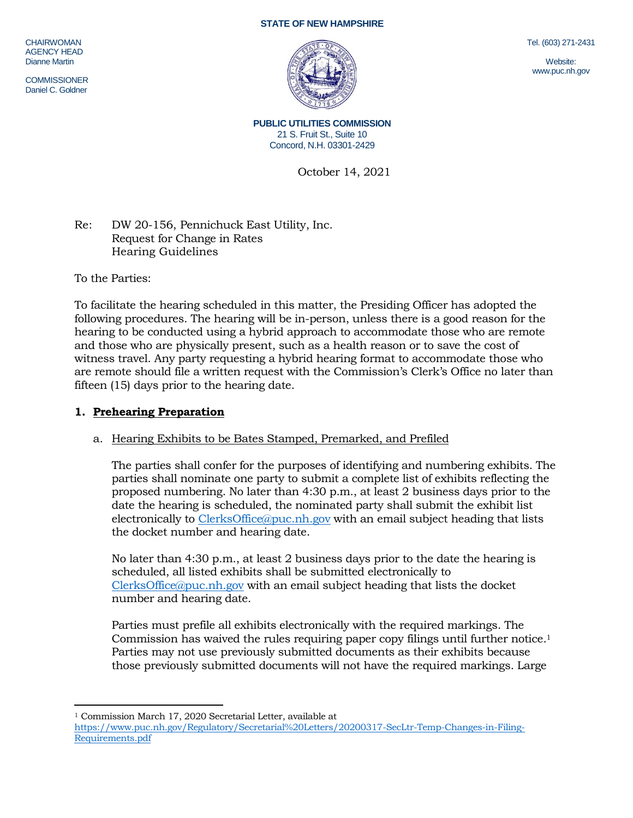#### **STATE OF NEW HAMPSHIRE**

**CHAIRWOMAN** AGENCY HEAD Dianne Martin

**COMMISSIONER** Daniel C. Goldner

Tel. (603) 271-2431

Website: www.puc.nh.gov

**PUBLIC UTILITIES COMMISSION** 21 S. Fruit St., Suite 10 Concord, N.H. 03301-2429

October 14, 2021

Re: DW 20-156, Pennichuck East Utility, Inc. Request for Change in Rates Hearing Guidelines

To the Parties:

To facilitate the hearing scheduled in this matter, the Presiding Officer has adopted the following procedures. The hearing will be in-person, unless there is a good reason for the hearing to be conducted using a hybrid approach to accommodate those who are remote and those who are physically present, such as a health reason or to save the cost of witness travel. Any party requesting a hybrid hearing format to accommodate those who are remote should file a written request with the Commission's Clerk's Office no later than fifteen (15) days prior to the hearing date.

## **1. Prehearing Preparation**

## a. Hearing Exhibits to be Bates Stamped, Premarked, and Prefiled

The parties shall confer for the purposes of identifying and numbering exhibits. The parties shall nominate one party to submit a complete list of exhibits reflecting the proposed numbering. No later than 4:30 p.m., at least 2 business days prior to the date the hearing is scheduled, the nominated party shall submit the exhibit list electronically to [ClerksOffice@puc.nh.gov](mailto:ClerksOffice@puc.nh.gov) with an email subject heading that lists the docket number and hearing date.

No later than 4:30 p.m., at least 2 business days prior to the date the hearing is scheduled, all listed exhibits shall be submitted electronically to [ClerksOffice@puc.nh.gov](mailto:Clerks.Office@puc.nh.gov) with an email subject heading that lists the docket number and hearing date.

Parties must prefile all exhibits electronically with the required markings. The Commission has waived the rules requiring paper copy filings until further notice. 1 Parties may not use previously submitted documents as their exhibits because those previously submitted documents will not have the required markings. Large

 $\overline{a}$ <sup>1</sup> Commission March 17, 2020 Secretarial Letter, available at

[https://www.puc.nh.gov/Regulatory/Secretarial%20Letters/20200317-SecLtr-Temp-Changes-in-Filing-](https://www.puc.nh.gov/Regulatory/Secretarial%20Letters/20200317-SecLtr-Temp-Changes-in-Filing-Requirements.pdf)[Requirements.pdf](https://www.puc.nh.gov/Regulatory/Secretarial%20Letters/20200317-SecLtr-Temp-Changes-in-Filing-Requirements.pdf)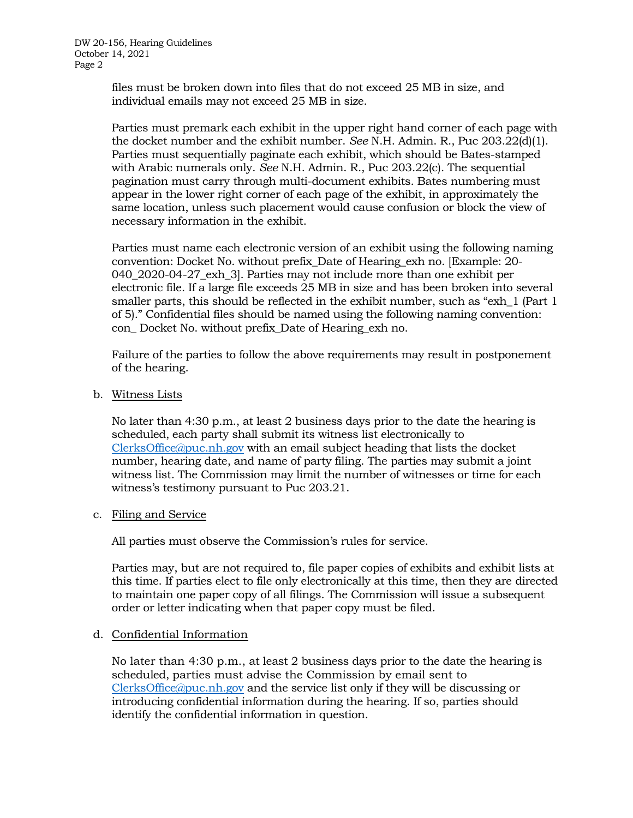files must be broken down into files that do not exceed 25 MB in size, and individual emails may not exceed 25 MB in size.

Parties must premark each exhibit in the upper right hand corner of each page with the docket number and the exhibit number. *See* N.H. Admin. R., Puc 203.22(d)(1). Parties must sequentially paginate each exhibit, which should be Bates-stamped with Arabic numerals only. *See* N.H. Admin. R., Puc 203.22(c). The sequential pagination must carry through multi-document exhibits. Bates numbering must appear in the lower right corner of each page of the exhibit, in approximately the same location, unless such placement would cause confusion or block the view of necessary information in the exhibit.

Parties must name each electronic version of an exhibit using the following naming convention: Docket No. without prefix\_Date of Hearing\_exh no. [Example: 20- 040\_2020-04-27\_exh\_3]. Parties may not include more than one exhibit per electronic file. If a large file exceeds 25 MB in size and has been broken into several smaller parts, this should be reflected in the exhibit number, such as "exh\_1 (Part 1 of 5)." Confidential files should be named using the following naming convention: con\_ Docket No. without prefix\_Date of Hearing\_exh no.

Failure of the parties to follow the above requirements may result in postponement of the hearing.

b. Witness Lists

No later than 4:30 p.m., at least 2 business days prior to the date the hearing is scheduled, each party shall submit its witness list electronically to [ClerksOffice@puc.nh.gov](mailto:Clerks.Office@puc.nh.gov) with an email subject heading that lists the docket number, hearing date, and name of party filing. The parties may submit a joint witness list. The Commission may limit the number of witnesses or time for each witness's testimony pursuant to Puc 203.21.

c. Filing and Service

All parties must observe the Commission's rules for service.

Parties may, but are not required to, file paper copies of exhibits and exhibit lists at this time. If parties elect to file only electronically at this time, then they are directed to maintain one paper copy of all filings. The Commission will issue a subsequent order or letter indicating when that paper copy must be filed.

## d. Confidential Information

No later than 4:30 p.m., at least 2 business days prior to the date the hearing is scheduled, parties must advise the Commission by email sent to [ClerksOffice@puc.nh.gov](mailto:Clerks.Office@puc.nh.gov) and the service list only if they will be discussing or introducing confidential information during the hearing. If so, parties should identify the confidential information in question.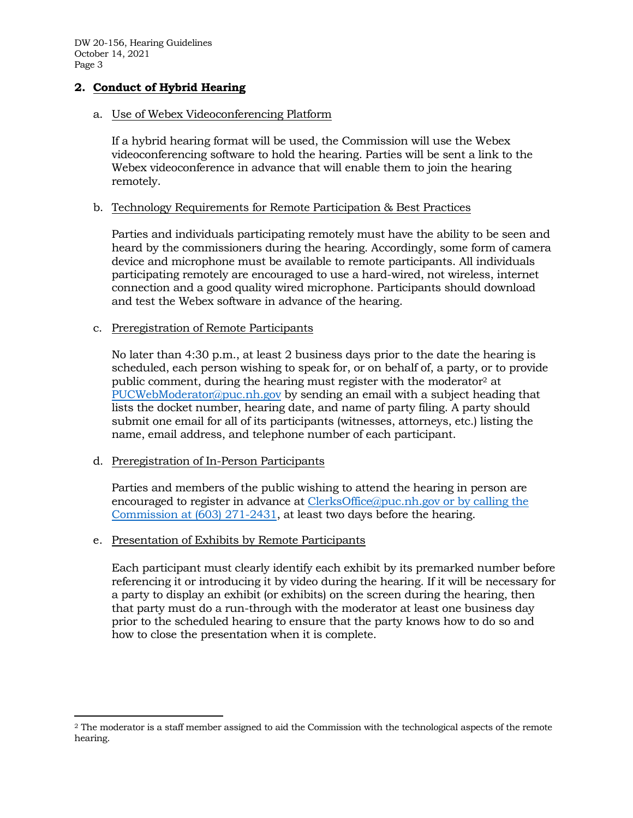DW 20-156, Hearing Guidelines October 14, 2021 Page 3

## **2. Conduct of Hybrid Hearing**

## a. Use of Webex Videoconferencing Platform

If a hybrid hearing format will be used, the Commission will use the Webex videoconferencing software to hold the hearing. Parties will be sent a link to the Webex videoconference in advance that will enable them to join the hearing remotely.

## b. Technology Requirements for Remote Participation & Best Practices

Parties and individuals participating remotely must have the ability to be seen and heard by the commissioners during the hearing. Accordingly, some form of camera device and microphone must be available to remote participants. All individuals participating remotely are encouraged to use a hard-wired, not wireless, internet connection and a good quality wired microphone. Participants should download and test the Webex software in advance of the hearing.

### c. Preregistration of Remote Participants

No later than 4:30 p.m., at least 2 business days prior to the date the hearing is scheduled, each person wishing to speak for, or on behalf of, a party, or to provide public comment, during the hearing must register with the moderator<sup>2</sup> at [PUCWebModerator@puc.nh.gov](mailto:PUCWebModerator@puc.nh.gov) by sending an email with a subject heading that lists the docket number, hearing date, and name of party filing. A party should submit one email for all of its participants (witnesses, attorneys, etc.) listing the name, email address, and telephone number of each participant.

## d. Preregistration of In-Person Participants

 $\overline{a}$ 

Parties and members of the public wishing to attend the hearing in person are encouraged to register in advance at [ClerksOffice@puc.nh.gov](mailto:Clerks.Office@puc.nh.gov) or by calling the Commission at (603) 271-2431, at least two days before the hearing.

## e. Presentation of Exhibits by Remote Participants

Each participant must clearly identify each exhibit by its premarked number before referencing it or introducing it by video during the hearing. If it will be necessary for a party to display an exhibit (or exhibits) on the screen during the hearing, then that party must do a run-through with the moderator at least one business day prior to the scheduled hearing to ensure that the party knows how to do so and how to close the presentation when it is complete.

<sup>2</sup> The moderator is a staff member assigned to aid the Commission with the technological aspects of the remote hearing.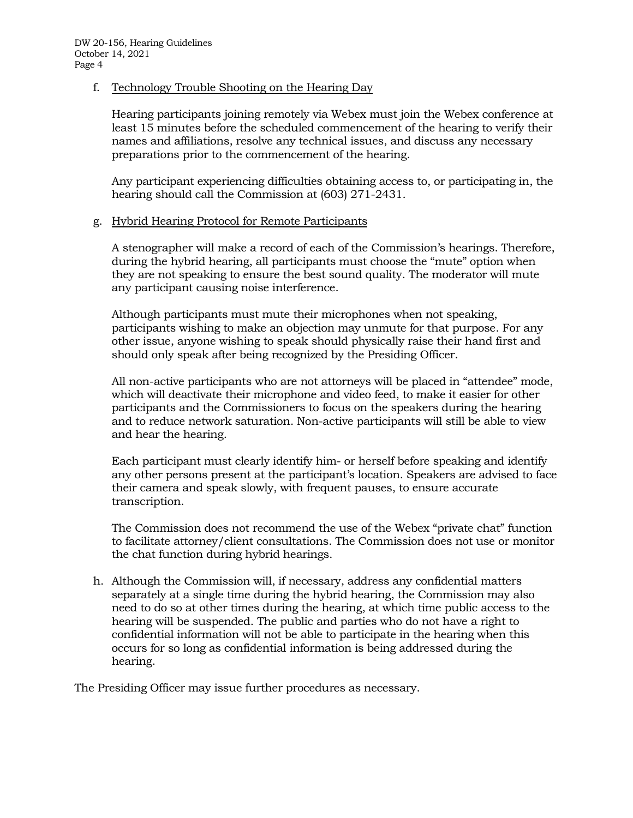## f. Technology Trouble Shooting on the Hearing Day

Hearing participants joining remotely via Webex must join the Webex conference at least 15 minutes before the scheduled commencement of the hearing to verify their names and affiliations, resolve any technical issues, and discuss any necessary preparations prior to the commencement of the hearing.

Any participant experiencing difficulties obtaining access to, or participating in, the hearing should call the Commission at (603) 271-2431.

## g. Hybrid Hearing Protocol for Remote Participants

A stenographer will make a record of each of the Commission's hearings. Therefore, during the hybrid hearing, all participants must choose the "mute" option when they are not speaking to ensure the best sound quality. The moderator will mute any participant causing noise interference.

Although participants must mute their microphones when not speaking, participants wishing to make an objection may unmute for that purpose. For any other issue, anyone wishing to speak should physically raise their hand first and should only speak after being recognized by the Presiding Officer.

All non-active participants who are not attorneys will be placed in "attendee" mode, which will deactivate their microphone and video feed, to make it easier for other participants and the Commissioners to focus on the speakers during the hearing and to reduce network saturation. Non-active participants will still be able to view and hear the hearing.

Each participant must clearly identify him- or herself before speaking and identify any other persons present at the participant's location. Speakers are advised to face their camera and speak slowly, with frequent pauses, to ensure accurate transcription.

The Commission does not recommend the use of the Webex "private chat" function to facilitate attorney/client consultations. The Commission does not use or monitor the chat function during hybrid hearings.

h. Although the Commission will, if necessary, address any confidential matters separately at a single time during the hybrid hearing, the Commission may also need to do so at other times during the hearing, at which time public access to the hearing will be suspended. The public and parties who do not have a right to confidential information will not be able to participate in the hearing when this occurs for so long as confidential information is being addressed during the hearing.

The Presiding Officer may issue further procedures as necessary.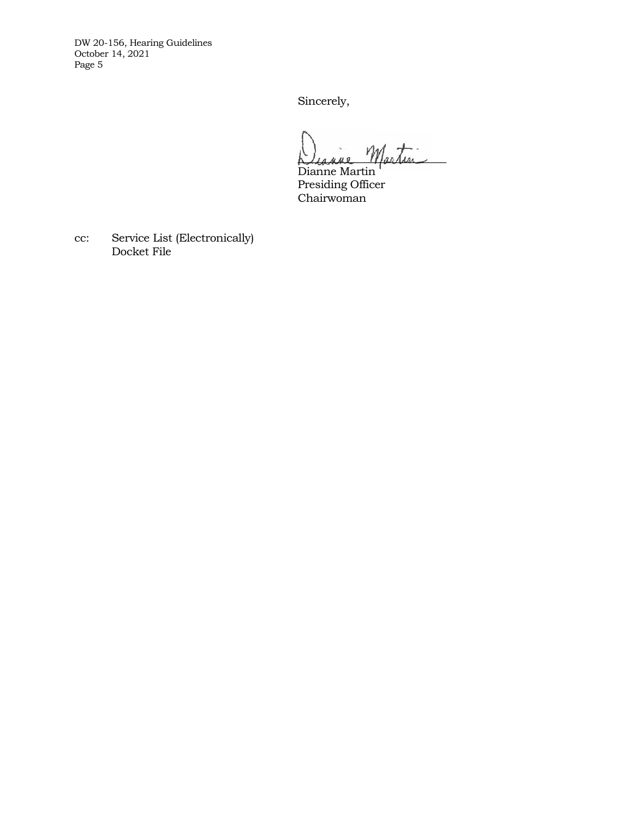DW 20-156, Hearing Guidelines October 14, 2021 Page 5

Sincerely,

Diagne Martin

Dianne Martin Presiding Officer Chairwoman

cc: Service List (Electronically) Docket File